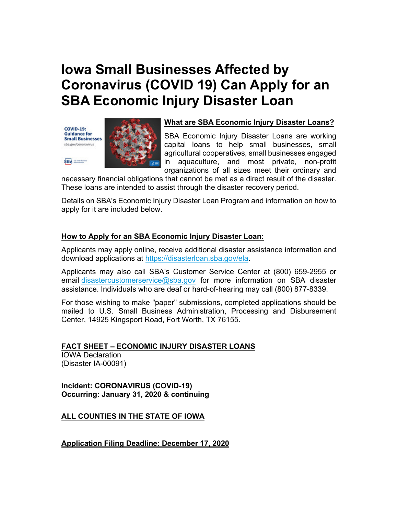# **Iowa Small Businesses Affected by Coronavirus (COVID 19) Can Apply for an SBA Economic Injury Disaster Loan**

**COVID-19: Guidance for Small Businesses** sba.gov/coronavirus

SBA **ELECTRIC** 



#### **What are SBA Economic Injury Disaster Loans?**

SBA Economic Injury Disaster Loans are working capital loans to help small businesses, small agricultural cooperatives, small businesses engaged in aquaculture, and most private, non-profit organizations of all sizes meet their ordinary and

necessary financial obligations that cannot be met as a direct result of the disaster. These loans are intended to assist through the disaster recovery period.

Details on SBA's Economic Injury Disaster Loan Program and information on how to apply for it are included below.

# **How to Apply for an SBA Economic Injury Disaster Loan:**

Applicants may apply online, receive additional disaster assistance information and download applications at [https://disasterloan.sba.gov/ela.](https://disasterloan.sba.gov/ela?utm_medium=email&utm_source=govdelivery)

Applicants may also call SBA's Customer Service Center at (800) 659-2955 or email [disastercustomerservice@sba.gov](mailto:disastercustomerservice@sba.gov) for more information on SBA disaster assistance. Individuals who are deaf or hard-of-hearing may call (800) 877-8339.

For those wishing to make "paper" submissions, completed applications should be mailed to U.S. Small Business Administration, Processing and Disbursement Center, 14925 Kingsport Road, Fort Worth, TX 76155.

# **FACT SHEET – ECONOMIC INJURY DISASTER LOANS**

IOWA Declaration (Disaster IA-00091)

**Incident: CORONAVIRUS (COVID-19) Occurring: January 31, 2020 & continuing**

# **ALL COUNTIES IN THE STATE OF IOWA**

**Application Filing Deadline: December 17, 2020**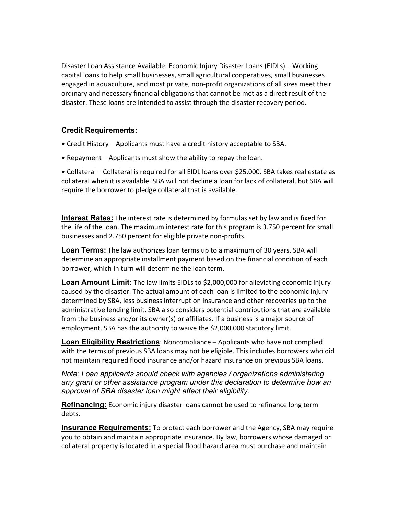Disaster Loan Assistance Available: Economic Injury Disaster Loans (EIDLs) – Working capital loans to help small businesses, small agricultural cooperatives, small businesses engaged in aquaculture, and most private, non-profit organizations of all sizes meet their ordinary and necessary financial obligations that cannot be met as a direct result of the disaster. These loans are intended to assist through the disaster recovery period.

# **Credit Requirements:**

- Credit History Applicants must have a credit history acceptable to SBA.
- Repayment Applicants must show the ability to repay the loan.

• Collateral – Collateral is required for all EIDL loans over \$25,000. SBA takes real estate as collateral when it is available. SBA will not decline a loan for lack of collateral, but SBA will require the borrower to pledge collateral that is available.

**Interest Rates:** The interest rate is determined by formulas set by law and is fixed for the life of the loan. The maximum interest rate for this program is 3.750 percent for small businesses and 2.750 percent for eligible private non-profits.

**Loan Terms:** The law authorizes loan terms up to a maximum of 30 years. SBA will determine an appropriate installment payment based on the financial condition of each borrower, which in turn will determine the loan term.

**Loan Amount Limit:** The law limits EIDLs to \$2,000,000 for alleviating economic injury caused by the disaster. The actual amount of each loan is limited to the economic injury determined by SBA, less business interruption insurance and other recoveries up to the administrative lending limit. SBA also considers potential contributions that are available from the business and/or its owner(s) or affiliates. If a business is a major source of employment, SBA has the authority to waive the \$2,000,000 statutory limit.

**Loan Eligibility Restrictions**: Noncompliance – Applicants who have not complied with the terms of previous SBA loans may not be eligible. This includes borrowers who did not maintain required flood insurance and/or hazard insurance on previous SBA loans.

*Note: Loan applicants should check with agencies / organizations administering any grant or other assistance program under this declaration to determine how an approval of SBA disaster loan might affect their eligibility.*

**Refinancing:** Economic injury disaster loans cannot be used to refinance long term debts.

**Insurance Requirements:** To protect each borrower and the Agency, SBA may require you to obtain and maintain appropriate insurance. By law, borrowers whose damaged or collateral property is located in a special flood hazard area must purchase and maintain